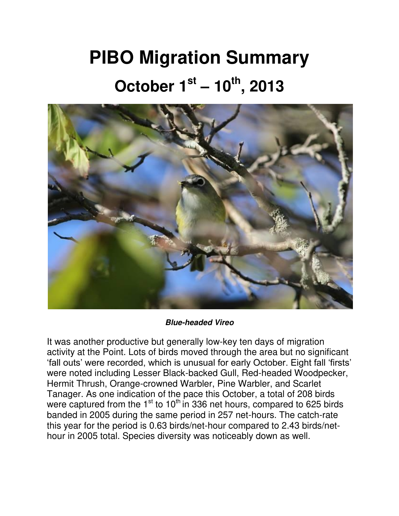## **PIBO Migration Summary October 1st – 10th, 2013**



*Blue-headed Vireo*

It was another productive but generally low-key ten days of migration activity at the Point. Lots of birds moved through the area but no significant 'fall outs' were recorded, which is unusual for early October. Eight fall 'firsts' were noted including Lesser Black-backed Gull, Red-headed Woodpecker, Hermit Thrush, Orange-crowned Warbler, Pine Warbler, and Scarlet Tanager. As one indication of the pace this October, a total of 208 birds were captured from the  $1<sup>st</sup>$  to  $10<sup>th</sup>$  in 336 net hours, compared to 625 birds banded in 2005 during the same period in 257 net-hours. The catch-rate this year for the period is 0.63 birds/net-hour compared to 2.43 birds/nethour in 2005 total. Species diversity was noticeably down as well.